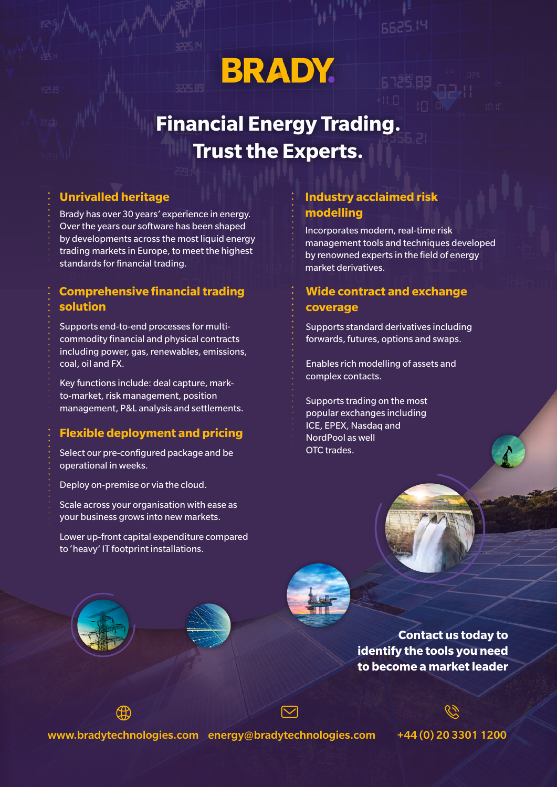# **BRADY.**

## **Financial Energy Trading. Trust the Experts.**

Brady has over 30 years' experience in energy. Over the years our software has been shaped by developments across the most liquid energy trading markets in Europe, to meet the highest standards for financial trading.

#### **Comprehensive financial trading solution**

Supports end-to-end processes for multicommodity financial and physical contracts including power, gas, renewables, emissions, coal, oil and FX.

Key functions include: deal capture, markto-market, risk management, position management, P&L analysis and settlements.

### **Flexible deployment and pricing**

Select our pre-configured package and be operational in weeks.

Deploy on-premise or via the cloud.

Scale across your organisation with ease as your business grows into new markets.

Lower up-front capital expenditure compared to 'heavy' IT footprint installations.

#### **Unrivalled heritage Industry acclaimed risk modelling**

Incorporates modern, real-time risk management tools and techniques developed by renowned experts in the field of energy market derivatives.

**SS25.14** 

### **Wide contract and exchange coverage**

Supports standard derivatives including forwards, futures, options and swaps.

Enables rich modelling of assets and complex contacts.

Supports trading on the most popular exchanges including ICE, EPEX, Nasdaq and NordPool as well OTC trades.

> **Contact us today to identify the tools you need to become a market leader**

www.bradytechnologies.com energy@bradytechnologies.com +44 (0) 20 3301 1200